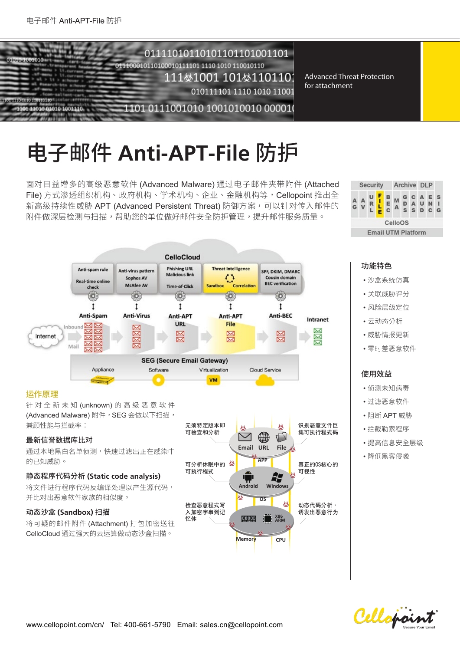

# 电子邮件 Anti-APT-File 防护

面对日益增多的高级恶意软件 (Advanced Malware) 通过电子邮件夹带附件 (Attached File) 方式渗透组织机构、政府机构、学术机构、企业、金融机构等,Cellopoint 推出全 新高级持续性威胁 APT (Advanced Persistent Threat) 防御方案,可以针对传入邮件的 附件做深层检测与扫描,帮助您的单位做好邮件安全防护管理,提升邮件服务质量。



**CelloCloud Phishing URL Threat Intelligence** Anti-spam rule Anti-virus pattern SPF, DKIM, DMARC Malicious link Sophos AV Cousin dom **Real-time online BEC** verification McAfee AV Time-of-Click Sandboy Correlation check Ó,  $\circ$ ξŌ, ίÖ, ïΘ.  $\mathbf{f}$  $\mathbf{t}$  $\mathbf{r}$  $\mathbf{t}$  $\mathbf{t}$ Anti-Spam **Anti-Virus** Anti-BEC Anti-APT Anti-APT Intranet URL **File** Inhaund 지재 図  $\overline{\mathbf{x}}$ 図 XX Internet  $\boxtimes$  $\overline{\times}$  $\overline{\mathbf{z}}$ ळ Б বা∝ Mail **SEG (Secure Email Gateway)** Appliance Software Virtualization Cloud Service **VM** 

## 鵙⡲⾲椚

针对全新未知 (unknown) 的高级恶意软件 (Advanced Malware) 附件, SEG 会做以下扫描, 兼顾性能与拦截率:

#### 最新信誉数据库比对

通过本地黑白名单侦测,快速过滤出正在感染中 的已知威胁。

## 䙖玑䎸➿瀦ⴕ區 **(Static code analysis)**

将文件讲行程序代码反编译处理以产生源代码, 并比对出恶意软件家族的相似度。

#### 动态沙盒 (Sandbox) 扫描

将可疑的邮件附件 (Attachment) 打包加密送往 CelloCloud 通过强大的云运算做动态沙盒扫描。



## 功能特色

- 沙盒系统仿真
- 关联威胁评分
- 风险层级定位
- 云动态分析
- 威胁情报更新
- 零时差恶意软件

## 使用效益

- 侦测未知病毒
- 过滤恶意软件
- 阻断 APT 威胁
- 拦截勒索程序
- 提高信息安全层级
- 降低黑客侵袭